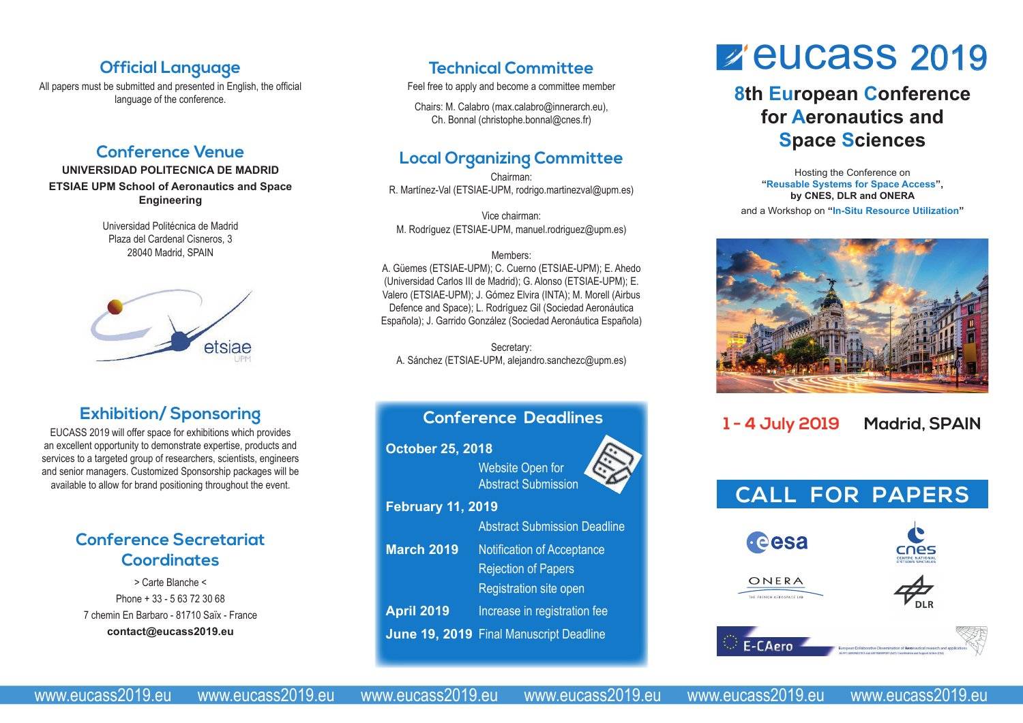### **Official Language**

All papers must be submitted and presented in English, the official language of the conference.

### **Conference Venue**

#### **UNIVERSIDAD POLITECNICA DE MADRID ETSIAE UPM School of Aeronautics and Space Engineering**

Universidad Politécnica de Madrid Plaza del Cardenal Cisneros, 3 28040 Madrid, SPAIN



## **Exhibition/ Sponsoring**

EUCASS 2019 will offer space for exhibitions which provides an excellent opportunity to demonstrate expertise, products and services to a targeted group of researchers, scientists, engineers and senior managers. Customized Sponsorship packages will be available to allow for brand positioning throughout the event.

### **Conference Secretariat Coordinates**

> Carte Blanche < Phone + 33 - 5 63 72 30 68 7 chemin En Barbaro - 81710 Saïx - France **contact@eucass2019.eu**

### **Technical Committee**

Feel free to apply and become a committee member

Chairs: M. Calabro (max.calabro@innerarch.eu), Ch. Bonnal (christophe.bonnal@cnes.fr)

# **Local Organizing Committee**

Chairman: R. Martínez-Val (ETSIAE-UPM, rodrigo.martinezval@upm.es)

Vice chairman: M. Rodríguez (ETSIAE-UPM, manuel.rodriguez@upm.es)

#### Members:

A. Güemes (ETSIAE-UPM); C. Cuerno (ETSIAE-UPM); E. Ahedo (Universidad Carlos III de Madrid); G. Alonso (ETSIAE-UPM); E. Valero (ETSIAE-UPM); J. Gómez Elvira (INTA); M. Morell (Airbus Defence and Space); L. Rodríguez Gil (Sociedad Aeronáutica Española); J. Garrido González (Sociedad Aeronáutica Española)

Secretary: A. Sánchez (ETSIAE-UPM, alejandro.sanchezc@upm.es)

# **Conference Deadlines October 25, 2018** Website Open for Abstract Submission **February 11, 2019** Abstract Submission Deadline **March 2019** Notification of Acceptance Rejection of Papers Registration site open **April 2019** Increase in registration fee **June 19, 2019** Final Manuscript Deadline

# **z'eucass** 2019

# **8th European Conference for Aeronautics and Space Sciences**

Hosting the Conference on **"Reusable Systems for Space Access", by CNES, DLR and ONERA** and a Workshop on **"In-Situ Resource Utilization"**



# **1 - 4 July 2019 Madrid, SPAIN**



www.eucass2019.eu www.eucass2019.eu www.eucass2019.eu www.eucass2019.eu www.eucass2019.eu www.eucass2019.eu